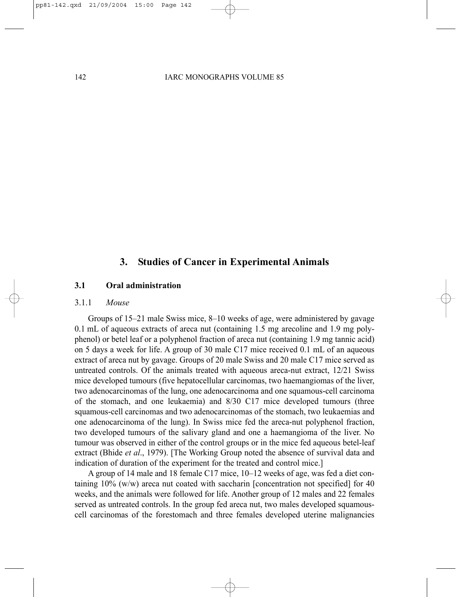# **3. Studies of Cancer in Experimental Animals**

## **3.1 Oral administration**

#### 3.1.1 *Mouse*

Groups of 15–21 male Swiss mice, 8–10 weeks of age, were administered by gavage 0.1 mL of aqueous extracts of areca nut (containing 1.5 mg arecoline and 1.9 mg polyphenol) or betel leaf or a polyphenol fraction of areca nut (containing 1.9 mg tannic acid) on 5 days a week for life. A group of 30 male C17 mice received 0.1 mL of an aqueous extract of areca nut by gavage. Groups of 20 male Swiss and 20 male C17 mice served as untreated controls. Of the animals treated with aqueous areca-nut extract, 12/21 Swiss mice developed tumours (five hepatocellular carcinomas, two haemangiomas of the liver, two adenocarcinomas of the lung, one adenocarcinoma and one squamous-cell carcinoma of the stomach, and one leukaemia) and 8/30 C17 mice developed tumours (three squamous-cell carcinomas and two adenocarcinomas of the stomach, two leukaemias and one adenocarcinoma of the lung). In Swiss mice fed the areca-nut polyphenol fraction, two developed tumours of the salivary gland and one a haemangioma of the liver. No tumour was observed in either of the control groups or in the mice fed aqueous betel-leaf extract (Bhide *et al*., 1979). [The Working Group noted the absence of survival data and indication of duration of the experiment for the treated and control mice.]

A group of 14 male and 18 female C17 mice, 10–12 weeks of age, was fed a diet containing 10% (w/w) areca nut coated with saccharin [concentration not specified] for 40 weeks, and the animals were followed for life. Another group of 12 males and 22 females served as untreated controls. In the group fed areca nut, two males developed squamouscell carcinomas of the forestomach and three females developed uterine malignancies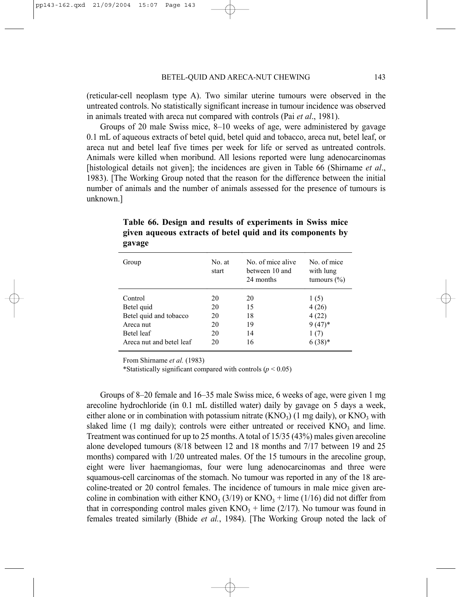(reticular-cell neoplasm type A). Two similar uterine tumours were observed in the untreated controls. No statistically significant increase in tumour incidence was observed in animals treated with areca nut compared with controls (Pai *et al*., 1981).

Groups of 20 male Swiss mice, 8–10 weeks of age, were administered by gavage 0.1 mL of aqueous extracts of betel quid, betel quid and tobacco, areca nut, betel leaf, or areca nut and betel leaf five times per week for life or served as untreated controls. Animals were killed when moribund. All lesions reported were lung adenocarcinomas [histological details not given]; the incidences are given in Table 66 (Shirname *et al*., 1983). [The Working Group noted that the reason for the difference between the initial number of animals and the number of animals assessed for the presence of tumours is unknown.]

| Group                    | No. at<br>start | No. of mice alive<br>between 10 and<br>24 months | No of mice<br>with lung<br>tumours $(\% )$ |  |  |
|--------------------------|-----------------|--------------------------------------------------|--------------------------------------------|--|--|
| Control                  | 20              | 20                                               | 1(5)                                       |  |  |
| Betel quid               | 20              | 15                                               | 4(26)                                      |  |  |
| Betel quid and tobacco   | 20              | 18                                               | 4(22)                                      |  |  |
| Areca nut                | 20              | 19                                               | $9(47)*$                                   |  |  |
| Betel leaf               | 20              | 14                                               | 1(7)                                       |  |  |
| Areca nut and betel leaf | 20              | 16                                               | $6(38)*$                                   |  |  |
|                          |                 |                                                  |                                            |  |  |

**Table 66. Design and results of experiments in Swiss mice given aqueous extracts of betel quid and its components by gavage**

From Shirname *et al.* (1983)

\*Statistically significant compared with controls  $(p < 0.05)$ 

Groups of 8–20 female and 16–35 male Swiss mice, 6 weeks of age, were given 1 mg arecoline hydrochloride (in 0.1 mL distilled water) daily by gavage on 5 days a week, either alone or in combination with potassium nitrate  $(KNO<sub>3</sub>)$  (1 mg daily), or  $KNO<sub>3</sub>$  with slaked lime (1 mg daily); controls were either untreated or received  $KNO<sub>3</sub>$  and lime. Treatment was continued for up to 25 months. A total of 15/35 (43%) males given arecoline alone developed tumours (8/18 between 12 and 18 months and 7/17 between 19 and 25 months) compared with 1/20 untreated males. Of the 15 tumours in the arecoline group, eight were liver haemangiomas, four were lung adenocarcinomas and three were squamous-cell carcinomas of the stomach. No tumour was reported in any of the 18 arecoline-treated or 20 control females. The incidence of tumours in male mice given arecoline in combination with either  $KNO_3$  (3/19) or  $KNO_3$  + lime (1/16) did not differ from that in corresponding control males given  $KNO_3$  + lime (2/17). No tumour was found in females treated similarly (Bhide *et al.*, 1984). [The Working Group noted the lack of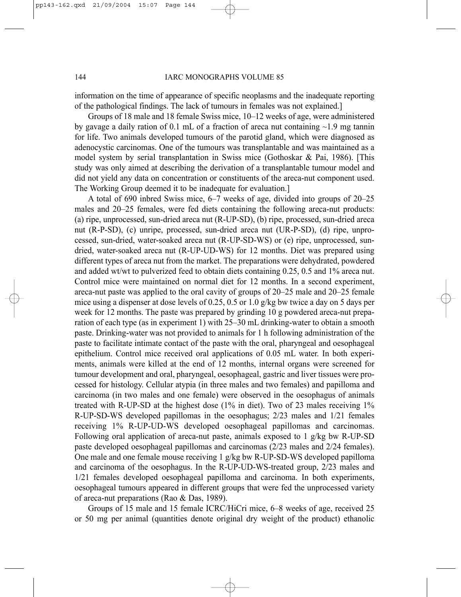information on the time of appearance of specific neoplasms and the inadequate reporting of the pathological findings. The lack of tumours in females was not explained.]

Groups of 18 male and 18 female Swiss mice, 10–12 weeks of age, were administered by gavage a daily ration of 0.1 mL of a fraction of areca nut containing  $\sim$ 1.9 mg tannin for life. Two animals developed tumours of the parotid gland, which were diagnosed as adenocystic carcinomas. One of the tumours was transplantable and was maintained as a model system by serial transplantation in Swiss mice (Gothoskar & Pai, 1986). [This study was only aimed at describing the derivation of a transplantable tumour model and did not yield any data on concentration or constituents of the areca-nut component used. The Working Group deemed it to be inadequate for evaluation.]

A total of 690 inbred Swiss mice, 6–7 weeks of age, divided into groups of 20–25 males and 20–25 females, were fed diets containing the following areca-nut products: (a) ripe, unprocessed, sun-dried areca nut (R-UP-SD), (b) ripe, processed, sun-dried areca nut (R-P-SD), (c) unripe, processed, sun-dried areca nut (UR-P-SD), (d) ripe, unprocessed, sun-dried, water-soaked areca nut (R-UP-SD-WS) or (e) ripe, unprocessed, sundried, water-soaked areca nut (R-UP-UD-WS) for 12 months. Diet was prepared using different types of areca nut from the market. The preparations were dehydrated, powdered and added wt/wt to pulverized feed to obtain diets containing 0.25, 0.5 and 1% areca nut. Control mice were maintained on normal diet for 12 months. In a second experiment, areca-nut paste was applied to the oral cavity of groups of 20–25 male and 20–25 female mice using a dispenser at dose levels of 0.25, 0.5 or 1.0 g/kg bw twice a day on 5 days per week for 12 months. The paste was prepared by grinding 10 g powdered areca-nut preparation of each type (as in experiment 1) with 25–30 mL drinking-water to obtain a smooth paste. Drinking-water was not provided to animals for 1 h following administration of the paste to facilitate intimate contact of the paste with the oral, pharyngeal and oesophageal epithelium. Control mice received oral applications of 0.05 mL water. In both experiments, animals were killed at the end of 12 months, internal organs were screened for tumour development and oral, pharyngeal, oesophageal, gastric and liver tissues were processed for histology. Cellular atypia (in three males and two females) and papilloma and carcinoma (in two males and one female) were observed in the oesophagus of animals treated with R-UP-SD at the highest dose (1% in diet). Two of 23 males receiving 1% R-UP-SD-WS developed papillomas in the oesophagus; 2/23 males and 1/21 females receiving 1% R-UP-UD-WS developed oesophageal papillomas and carcinomas. Following oral application of areca-nut paste, animals exposed to 1 g/kg bw R-UP-SD paste developed oesophageal papillomas and carcinomas (2/23 males and 2/24 females). One male and one female mouse receiving 1 g/kg bw R-UP-SD-WS developed papilloma and carcinoma of the oesophagus. In the R-UP-UD-WS-treated group, 2/23 males and 1/21 females developed oesophageal papilloma and carcinoma. In both experiments, oesophageal tumours appeared in different groups that were fed the unprocessed variety of areca-nut preparations (Rao & Das, 1989).

Groups of 15 male and 15 female ICRC/HiCri mice, 6–8 weeks of age, received 25 or 50 mg per animal (quantities denote original dry weight of the product) ethanolic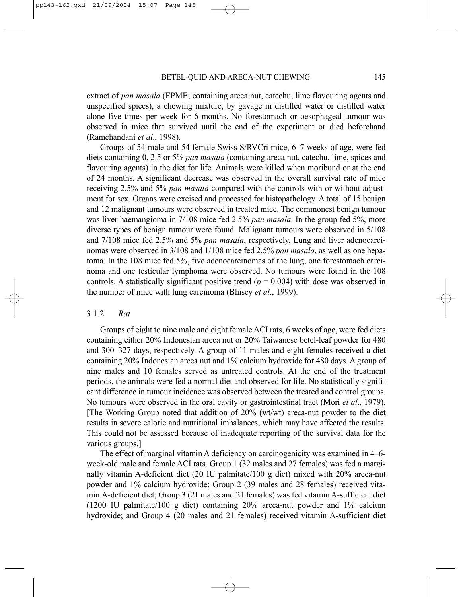extract of *pan masala* (EPME; containing areca nut, catechu, lime flavouring agents and unspecified spices), a chewing mixture, by gavage in distilled water or distilled water alone five times per week for 6 months. No forestomach or oesophageal tumour was observed in mice that survived until the end of the experiment or died beforehand (Ramchandani *et al*., 1998).

Groups of 54 male and 54 female Swiss S/RVCri mice, 6–7 weeks of age, were fed diets containing 0, 2.5 or 5% *pan masala* (containing areca nut, catechu, lime, spices and flavouring agents) in the diet for life. Animals were killed when moribund or at the end of 24 months. A significant decrease was observed in the overall survival rate of mice receiving 2.5% and 5% *pan masala* compared with the controls with or without adjustment for sex. Organs were excised and processed for histopathology. A total of 15 benign and 12 malignant tumours were observed in treated mice. The commonest benign tumour was liver haemangioma in 7/108 mice fed 2.5% *pan masala*. In the group fed 5%, more diverse types of benign tumour were found. Malignant tumours were observed in 5/108 and 7/108 mice fed 2.5% and 5% *pan masala*, respectively. Lung and liver adenocarcinomas were observed in 3/108 and 1/108 mice fed 2.5% *pan masala*, as well as one hepatoma. In the 108 mice fed 5%, five adenocarcinomas of the lung, one forestomach carcinoma and one testicular lymphoma were observed. No tumours were found in the 108 controls. A statistically significant positive trend  $(p = 0.004)$  with dose was observed in the number of mice with lung carcinoma (Bhisey *et al*., 1999).

### 3.1.2 *Rat*

Groups of eight to nine male and eight female ACI rats, 6 weeks of age, were fed diets containing either 20% Indonesian areca nut or 20% Taiwanese betel-leaf powder for 480 and 300–327 days, respectively. A group of 11 males and eight females received a diet containing 20% Indonesian areca nut and 1% calcium hydroxide for 480 days. A group of nine males and 10 females served as untreated controls. At the end of the treatment periods, the animals were fed a normal diet and observed for life. No statistically significant difference in tumour incidence was observed between the treated and control groups. No tumours were observed in the oral cavity or gastrointestinal tract (Mori *et al*., 1979). [The Working Group noted that addition of 20% (wt/wt) areca-nut powder to the diet results in severe caloric and nutritional imbalances, which may have affected the results. This could not be assessed because of inadequate reporting of the survival data for the various groups.]

The effect of marginal vitamin A deficiency on carcinogenicity was examined in 4–6 week-old male and female ACI rats. Group 1 (32 males and 27 females) was fed a marginally vitamin A-deficient diet (20 IU palmitate/100 g diet) mixed with 20% areca-nut powder and 1% calcium hydroxide; Group 2 (39 males and 28 females) received vitamin A-deficient diet; Group 3 (21 males and 21 females) was fed vitamin A-sufficient diet (1200 IU palmitate/100 g diet) containing 20% areca-nut powder and 1% calcium hydroxide; and Group 4 (20 males and 21 females) received vitamin A-sufficient diet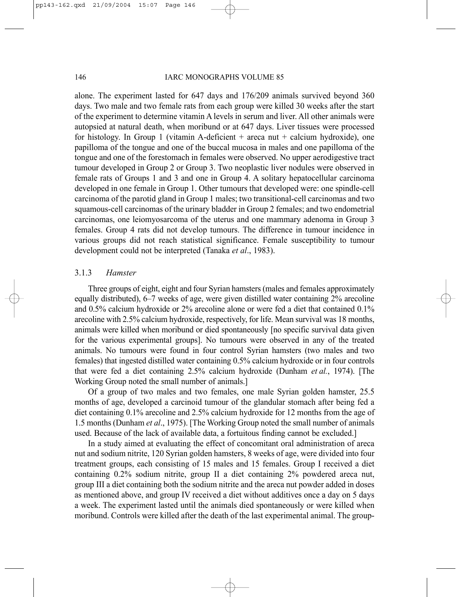alone. The experiment lasted for 647 days and 176/209 animals survived beyond 360 days. Two male and two female rats from each group were killed 30 weeks after the start of the experiment to determine vitamin A levels in serum and liver. All other animals were autopsied at natural death, when moribund or at 647 days. Liver tissues were processed for histology. In Group 1 (vitamin A-deficient  $+$  areca nut  $+$  calcium hydroxide), one papilloma of the tongue and one of the buccal mucosa in males and one papilloma of the tongue and one of the forestomach in females were observed. No upper aerodigestive tract tumour developed in Group 2 or Group 3. Two neoplastic liver nodules were observed in female rats of Groups 1 and 3 and one in Group 4. A solitary hepatocellular carcinoma developed in one female in Group 1. Other tumours that developed were: one spindle-cell carcinoma of the parotid gland in Group 1 males; two transitional-cell carcinomas and two squamous-cell carcinomas of the urinary bladder in Group 2 females; and two endometrial carcinomas, one leiomyosarcoma of the uterus and one mammary adenoma in Group 3 females. Group 4 rats did not develop tumours. The difference in tumour incidence in various groups did not reach statistical significance. Female susceptibility to tumour development could not be interpreted (Tanaka *et al*., 1983).

### 3.1.3 *Hamster*

Three groups of eight, eight and four Syrian hamsters (males and females approximately equally distributed), 6–7 weeks of age, were given distilled water containing 2% arecoline and 0.5% calcium hydroxide or 2% arecoline alone or were fed a diet that contained 0.1% arecoline with 2.5% calcium hydroxide, respectively, for life. Mean survival was 18 months, animals were killed when moribund or died spontaneously [no specific survival data given for the various experimental groups]. No tumours were observed in any of the treated animals. No tumours were found in four control Syrian hamsters (two males and two females) that ingested distilled water containing 0.5% calcium hydroxide or in four controls that were fed a diet containing 2.5% calcium hydroxide (Dunham *et al.*, 1974). [The Working Group noted the small number of animals.]

Of a group of two males and two females, one male Syrian golden hamster, 25.5 months of age, developed a carcinoid tumour of the glandular stomach after being fed a diet containing 0.1% arecoline and 2.5% calcium hydroxide for 12 months from the age of 1.5 months (Dunham *et al*., 1975). [The Working Group noted the small number of animals used. Because of the lack of available data, a fortuitous finding cannot be excluded.]

In a study aimed at evaluating the effect of concomitant oral administration of areca nut and sodium nitrite, 120 Syrian golden hamsters, 8 weeks of age, were divided into four treatment groups, each consisting of 15 males and 15 females. Group I received a diet containing 0.2% sodium nitrite, group II a diet containing 2% powdered areca nut, group III a diet containing both the sodium nitrite and the areca nut powder added in doses as mentioned above, and group IV received a diet without additives once a day on 5 days a week. The experiment lasted until the animals died spontaneously or were killed when moribund. Controls were killed after the death of the last experimental animal. The group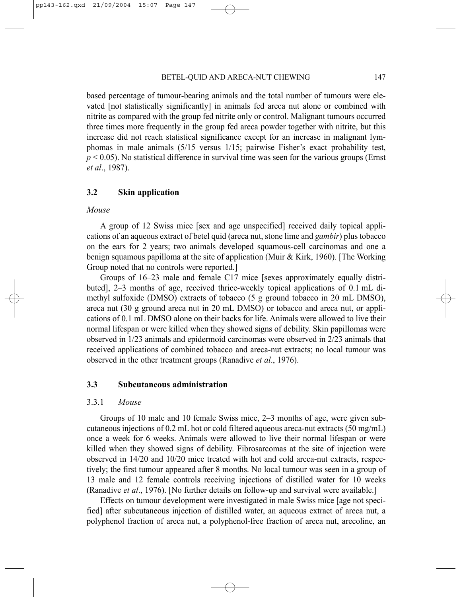based percentage of tumour-bearing animals and the total number of tumours were elevated [not statistically significantly] in animals fed areca nut alone or combined with nitrite as compared with the group fed nitrite only or control. Malignant tumours occurred three times more frequently in the group fed areca powder together with nitrite, but this increase did not reach statistical significance except for an increase in malignant lymphomas in male animals (5/15 versus 1/15; pairwise Fisher's exact probability test,  $p \leq 0.05$ ). No statistical difference in survival time was seen for the various groups (Ernst *et al*., 1987).

### **3.2 Skin application**

#### *Mouse*

A group of 12 Swiss mice [sex and age unspecified] received daily topical applications of an aqueous extract of betel quid (areca nut, stone lime and *gambir*) plus tobacco on the ears for 2 years; two animals developed squamous-cell carcinomas and one a benign squamous papilloma at the site of application (Muir & Kirk, 1960). [The Working Group noted that no controls were reported.]

Groups of 16–23 male and female C17 mice [sexes approximately equally distributed], 2–3 months of age, received thrice-weekly topical applications of 0.1 mL dimethyl sulfoxide (DMSO) extracts of tobacco (5 g ground tobacco in 20 mL DMSO), areca nut (30 g ground areca nut in 20 mL DMSO) or tobacco and areca nut, or applications of 0.1 mL DMSO alone on their backs for life. Animals were allowed to live their normal lifespan or were killed when they showed signs of debility. Skin papillomas were observed in 1/23 animals and epidermoid carcinomas were observed in 2/23 animals that received applications of combined tobacco and areca-nut extracts; no local tumour was observed in the other treatment groups (Ranadive *et al*., 1976).

## **3.3 Subcutaneous administration**

#### 3.3.1 *Mouse*

Groups of 10 male and 10 female Swiss mice, 2–3 months of age, were given subcutaneous injections of 0.2 mL hot or cold filtered aqueous areca-nut extracts (50 mg/mL) once a week for 6 weeks. Animals were allowed to live their normal lifespan or were killed when they showed signs of debility. Fibrosarcomas at the site of injection were observed in 14/20 and 10/20 mice treated with hot and cold areca-nut extracts, respectively; the first tumour appeared after 8 months. No local tumour was seen in a group of 13 male and 12 female controls receiving injections of distilled water for 10 weeks (Ranadive *et al*., 1976). [No further details on follow-up and survival were available.]

Effects on tumour development were investigated in male Swiss mice [age not specified] after subcutaneous injection of distilled water, an aqueous extract of areca nut, a polyphenol fraction of areca nut, a polyphenol-free fraction of areca nut, arecoline, an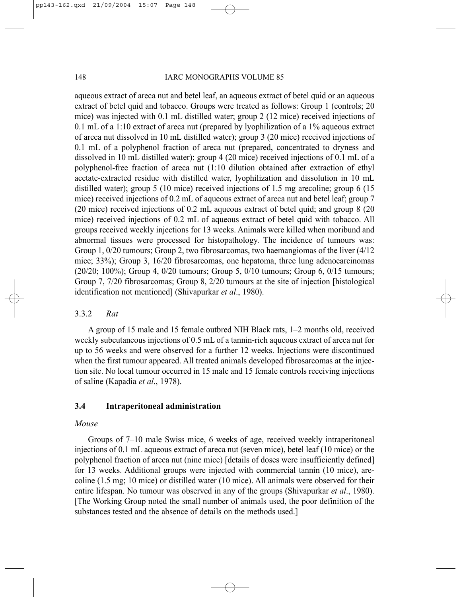aqueous extract of areca nut and betel leaf, an aqueous extract of betel quid or an aqueous extract of betel quid and tobacco. Groups were treated as follows: Group 1 (controls; 20 mice) was injected with 0.1 mL distilled water; group 2 (12 mice) received injections of 0.1 mL of a 1:10 extract of areca nut (prepared by lyophilization of a 1% aqueous extract of areca nut dissolved in 10 mL distilled water); group 3 (20 mice) received injections of 0.1 mL of a polyphenol fraction of areca nut (prepared, concentrated to dryness and dissolved in 10 mL distilled water); group 4 (20 mice) received injections of 0.1 mL of a polyphenol-free fraction of areca nut (1:10 dilution obtained after extraction of ethyl acetate-extracted residue with distilled water, lyophilization and dissolution in 10 mL distilled water); group 5 (10 mice) received injections of 1.5 mg arecoline; group 6 (15 mice) received injections of 0.2 mL of aqueous extract of areca nut and betel leaf; group 7 (20 mice) received injections of 0.2 mL aqueous extract of betel quid; and group 8 (20 mice) received injections of 0.2 mL of aqueous extract of betel quid with tobacco. All groups received weekly injections for 13 weeks. Animals were killed when moribund and abnormal tissues were processed for histopathology. The incidence of tumours was: Group 1, 0/20 tumours; Group 2, two fibrosarcomas, two haemangiomas of the liver (4/12 mice; 33%); Group 3, 16/20 fibrosarcomas, one hepatoma, three lung adenocarcinomas (20/20; 100%); Group 4, 0/20 tumours; Group 5, 0/10 tumours; Group 6, 0/15 tumours; Group 7, 7/20 fibrosarcomas; Group 8, 2/20 tumours at the site of injection [histological identification not mentioned] (Shivapurkar *et al*., 1980).

### 3.3.2 *Rat*

A group of 15 male and 15 female outbred NIH Black rats, 1–2 months old, received weekly subcutaneous injections of 0.5 mL of a tannin-rich aqueous extract of areca nut for up to 56 weeks and were observed for a further 12 weeks. Injections were discontinued when the first tumour appeared. All treated animals developed fibrosarcomas at the injection site. No local tumour occurred in 15 male and 15 female controls receiving injections of saline (Kapadia *et al*., 1978).

#### **3.4 Intraperitoneal administration**

#### *Mouse*

Groups of 7–10 male Swiss mice, 6 weeks of age, received weekly intraperitoneal injections of 0.1 mL aqueous extract of areca nut (seven mice), betel leaf (10 mice) or the polyphenol fraction of areca nut (nine mice) [details of doses were insufficiently defined] for 13 weeks. Additional groups were injected with commercial tannin (10 mice), arecoline (1.5 mg; 10 mice) or distilled water (10 mice). All animals were observed for their entire lifespan. No tumour was observed in any of the groups (Shivapurkar *et al*., 1980). [The Working Group noted the small number of animals used, the poor definition of the substances tested and the absence of details on the methods used.]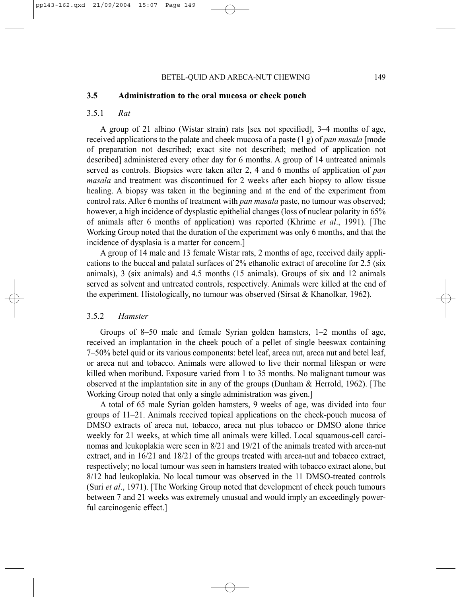#### **3.5 Administration to the oral mucosa or cheek pouch**

### 3.5.1 *Rat*

A group of 21 albino (Wistar strain) rats [sex not specified], 3–4 months of age, received applications to the palate and cheek mucosa of a paste (1 g) of *pan masala* [mode of preparation not described; exact site not described; method of application not described] administered every other day for 6 months. A group of 14 untreated animals served as controls. Biopsies were taken after 2, 4 and 6 months of application of *pan masala* and treatment was discontinued for 2 weeks after each biopsy to allow tissue healing. A biopsy was taken in the beginning and at the end of the experiment from control rats. After 6 months of treatment with *pan masala* paste, no tumour was observed; however, a high incidence of dysplastic epithelial changes (loss of nuclear polarity in 65% of animals after 6 months of application) was reported (Khrime *et al*., 1991). [The Working Group noted that the duration of the experiment was only 6 months, and that the incidence of dysplasia is a matter for concern.]

A group of 14 male and 13 female Wistar rats, 2 months of age, received daily applications to the buccal and palatal surfaces of 2% ethanolic extract of arecoline for 2.5 (six animals), 3 (six animals) and 4.5 months (15 animals). Groups of six and 12 animals served as solvent and untreated controls, respectively. Animals were killed at the end of the experiment. Histologically, no tumour was observed (Sirsat & Khanolkar, 1962).

### 3.5.2 *Hamster*

Groups of 8–50 male and female Syrian golden hamsters, 1–2 months of age, received an implantation in the cheek pouch of a pellet of single beeswax containing 7–50% betel quid or its various components: betel leaf, areca nut, areca nut and betel leaf, or areca nut and tobacco. Animals were allowed to live their normal lifespan or were killed when moribund. Exposure varied from 1 to 35 months. No malignant tumour was observed at the implantation site in any of the groups (Dunham & Herrold, 1962). [The Working Group noted that only a single administration was given.]

A total of 65 male Syrian golden hamsters, 9 weeks of age, was divided into four groups of 11–21. Animals received topical applications on the cheek-pouch mucosa of DMSO extracts of areca nut, tobacco, areca nut plus tobacco or DMSO alone thrice weekly for 21 weeks, at which time all animals were killed. Local squamous-cell carcinomas and leukoplakia were seen in 8/21 and 19/21 of the animals treated with areca-nut extract, and in 16/21 and 18/21 of the groups treated with areca-nut and tobacco extract, respectively; no local tumour was seen in hamsters treated with tobacco extract alone, but 8/12 had leukoplakia. No local tumour was observed in the 11 DMSO-treated controls (Suri *et al*., 1971). [The Working Group noted that development of cheek pouch tumours between 7 and 21 weeks was extremely unusual and would imply an exceedingly powerful carcinogenic effect.]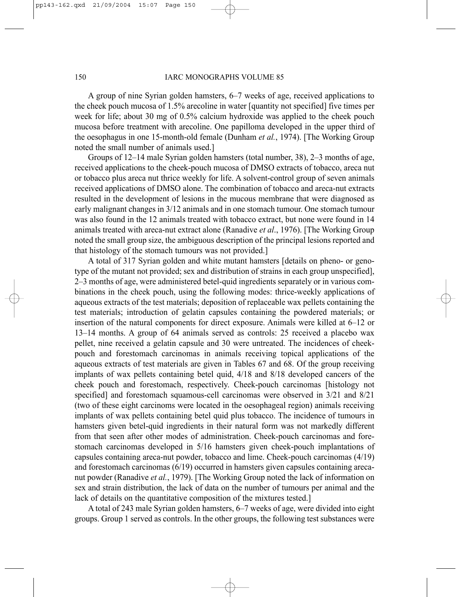A group of nine Syrian golden hamsters, 6–7 weeks of age, received applications to the cheek pouch mucosa of 1.5% arecoline in water [quantity not specified] five times per week for life; about 30 mg of 0.5% calcium hydroxide was applied to the cheek pouch mucosa before treatment with arecoline. One papilloma developed in the upper third of the oesophagus in one 15-month-old female (Dunham *et al.*, 1974). [The Working Group noted the small number of animals used.]

Groups of 12–14 male Syrian golden hamsters (total number, 38), 2–3 months of age, received applications to the cheek-pouch mucosa of DMSO extracts of tobacco, areca nut or tobacco plus areca nut thrice weekly for life. A solvent-control group of seven animals received applications of DMSO alone. The combination of tobacco and areca-nut extracts resulted in the development of lesions in the mucous membrane that were diagnosed as early malignant changes in 3/12 animals and in one stomach tumour. One stomach tumour was also found in the 12 animals treated with tobacco extract, but none were found in 14 animals treated with areca-nut extract alone (Ranadive *et al*., 1976). [The Working Group noted the small group size, the ambiguous description of the principal lesions reported and that histology of the stomach tumours was not provided.]

A total of 317 Syrian golden and white mutant hamsters [details on pheno- or genotype of the mutant not provided; sex and distribution of strains in each group unspecified], 2–3 months of age, were administered betel-quid ingredients separately or in various combinations in the cheek pouch, using the following modes: thrice-weekly applications of aqueous extracts of the test materials; deposition of replaceable wax pellets containing the test materials; introduction of gelatin capsules containing the powdered materials; or insertion of the natural components for direct exposure. Animals were killed at 6–12 or 13–14 months. A group of 64 animals served as controls: 25 received a placebo wax pellet, nine received a gelatin capsule and 30 were untreated. The incidences of cheekpouch and forestomach carcinomas in animals receiving topical applications of the aqueous extracts of test materials are given in Tables 67 and 68. Of the group receiving implants of wax pellets containing betel quid, 4/18 and 8/18 developed cancers of the cheek pouch and forestomach, respectively. Cheek-pouch carcinomas [histology not specified] and forestomach squamous-cell carcinomas were observed in 3/21 and 8/21 (two of these eight carcinoms were located in the oesophageal region) animals receiving implants of wax pellets containing betel quid plus tobacco. The incidence of tumours in hamsters given betel-quid ingredients in their natural form was not markedly different from that seen after other modes of administration. Cheek-pouch carcinomas and forestomach carcinomas developed in 5/16 hamsters given cheek-pouch implantations of capsules containing areca-nut powder, tobacco and lime. Cheek-pouch carcinomas (4/19) and forestomach carcinomas (6/19) occurred in hamsters given capsules containing arecanut powder (Ranadive *et al.*, 1979). [The Working Group noted the lack of information on sex and strain distribution, the lack of data on the number of tumours per animal and the lack of details on the quantitative composition of the mixtures tested.]

A total of 243 male Syrian golden hamsters, 6–7 weeks of age, were divided into eight groups. Group 1 served as controls. In the other groups, the following test substances were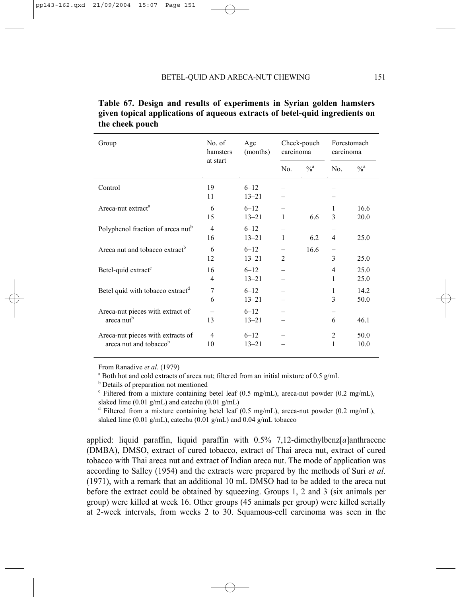| Group                                                                   | No. of<br>hamsters<br>at start | Age<br>(months)       | Cheek-pouch<br>carcinoma |               | Forestomach<br>carcinoma |                   |
|-------------------------------------------------------------------------|--------------------------------|-----------------------|--------------------------|---------------|--------------------------|-------------------|
|                                                                         |                                |                       | No.                      | $\frac{0}{a}$ | No.                      | $\%$ <sup>a</sup> |
| Control                                                                 | 19<br>11                       | $6 - 12$<br>$13 - 21$ |                          |               |                          |                   |
| Areca-nut extract <sup>a</sup>                                          | 6<br>15                        | $6 - 12$<br>$13 - 21$ | 1                        | 6.6           | 1<br>3                   | 16.6<br>20.0      |
| Polyphenol fraction of areca nut <sup>b</sup>                           | $\overline{4}$<br>16           | $6 - 12$<br>$13 - 21$ | $\mathbf{1}$             | 6.2           | $\overline{4}$           | 25.0              |
| Areca nut and tobacco extract <sup>b</sup>                              | 6<br>12                        | $6 - 12$<br>$13 - 21$ | $\overline{2}$           | 16.6          | $\qquad \qquad -$<br>3   | 25.0              |
| Betel-quid extract <sup>c</sup>                                         | 16<br>4                        | $6 - 12$<br>$13 - 21$ |                          |               | 4<br>1                   | 25.0<br>25.0      |
| Betel quid with tobacco extract <sup>d</sup>                            | 7<br>6                         | $6 - 12$<br>$13 - 21$ |                          |               | 1<br>3                   | 14.2<br>50.0      |
| Areca-nut pieces with extract of<br>areca nut <sup>b</sup>              | 13                             | $6 - 12$<br>$13 - 21$ |                          |               | 6                        | 46.1              |
| Areca-nut pieces with extracts of<br>areca nut and tobacco <sup>b</sup> | $\overline{4}$<br>10           | $6 - 12$<br>$13 - 21$ |                          |               | $\overline{2}$<br>1      | 50.0<br>10.0      |

| Table 67. Design and results of experiments in Syrian golden hamsters       |
|-----------------------------------------------------------------------------|
| given topical applications of aqueous extracts of betel-quid ingredients on |
| the cheek pouch                                                             |

From Ranadive *et al.* (1979)

<sup>a</sup> Both hot and cold extracts of areca nut; filtered from an initial mixture of 0.5 g/mL

**b** Details of preparation not mentioned

 $c$  Filtered from a mixture containing betel leaf (0.5 mg/mL), areca-nut powder (0.2 mg/mL), slaked lime (0.01 g/mL) and catechu (0.01 g/mL)

<sup>d</sup> Filtered from a mixture containing betel leaf (0.5 mg/mL), areca-nut powder (0.2 mg/mL), slaked lime (0.01 g/mL), catechu (0.01 g/mL) and 0.04 g/mL tobacco

applied: liquid paraffin, liquid paraffin with 0.5% 7,12-dimethylbenz[*a*]anthracene (DMBA), DMSO, extract of cured tobacco, extract of Thai areca nut, extract of cured tobacco with Thai areca nut and extract of Indian areca nut. The mode of application was according to Salley (1954) and the extracts were prepared by the methods of Suri *et al*. (1971), with a remark that an additional 10 mL DMSO had to be added to the areca nut before the extract could be obtained by squeezing. Groups 1, 2 and 3 (six animals per group) were killed at week 16. Other groups (45 animals per group) were killed serially at 2-week intervals, from weeks 2 to 30. Squamous-cell carcinoma was seen in the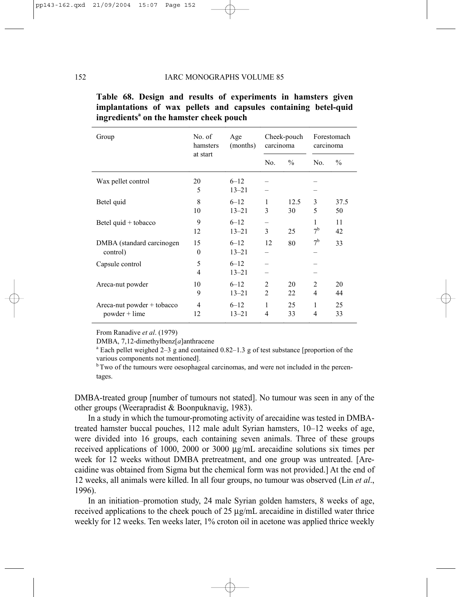| Group                                         | No. of<br>hamsters<br>at start | Age<br>(months)       | Cheek-pouch<br>carcinoma |               | Forestomach<br>carcinoma |               |
|-----------------------------------------------|--------------------------------|-----------------------|--------------------------|---------------|--------------------------|---------------|
|                                               |                                |                       | No.                      | $\frac{0}{0}$ | No.                      | $\frac{0}{0}$ |
| Wax pellet control                            | 20<br>5                        | $6 - 12$<br>$13 - 21$ |                          |               |                          |               |
| Betel quid                                    | 8<br>10                        | $6 - 12$<br>$13 - 21$ | 1<br>3                   | 12.5<br>30    | 3<br>5                   | 37.5<br>50    |
| Betel quid + tobacco                          | 9<br>12                        | $6 - 12$<br>$13 - 21$ | 3                        | 25            | 1<br>7 <sup>b</sup>      | 11<br>42      |
| DMBA (standard carcinogen)<br>control)        | 15<br>$\theta$                 | $6 - 12$<br>$13 - 21$ | 12                       | 80            | 7 <sup>b</sup>           | 33            |
| Capsule control                               | 5<br>4                         | $6 - 12$<br>$13 - 21$ |                          |               |                          |               |
| Areca-nut powder                              | 10<br>9                        | $6 - 12$<br>$13 - 21$ | 2<br>$\overline{2}$      | 20<br>22      | $\overline{c}$<br>4      | 20<br>44      |
| Areca-nut powder + tobacco<br>$powder + lime$ | $\overline{4}$<br>12           | $6 - 12$<br>$13 - 21$ | 1<br>4                   | 25<br>33      | 1<br>4                   | 25<br>33      |

|  |  |                                                     | Table 68. Design and results of experiments in hamsters given   |  |  |
|--|--|-----------------------------------------------------|-----------------------------------------------------------------|--|--|
|  |  |                                                     | implantations of wax pellets and capsules containing betel-quid |  |  |
|  |  | ingredients <sup>a</sup> on the hamster cheek pouch |                                                                 |  |  |

From Ranadive *et al*. (1979)

DMBA,  $7,12$ -dimethylbenz[a]anthracene

 $^{\circ}$  Each pellet weighed 2–3 g and contained 0.82–1.3 g of test substance [proportion of the various components not mentioned].

<sup>b</sup> Two of the tumours were oesophageal carcinomas, and were not included in the percentages.

DMBA-treated group [number of tumours not stated]. No tumour was seen in any of the other groups (Weerapradist & Boonpuknavig, 1983).

In a study in which the tumour-promoting activity of arecaidine was tested in DMBAtreated hamster buccal pouches, 112 male adult Syrian hamsters, 10–12 weeks of age, were divided into 16 groups, each containing seven animals. Three of these groups received applications of 1000, 2000 or 3000 µg/mL arecaidine solutions six times per week for 12 weeks without DMBA pretreatment, and one group was untreated. [Arecaidine was obtained from Sigma but the chemical form was not provided.] At the end of 12 weeks, all animals were killed. In all four groups, no tumour was observed (Lin *et al*., 1996).

In an initiation–promotion study, 24 male Syrian golden hamsters, 8 weeks of age, received applications to the cheek pouch of 25 µg/mL arecaidine in distilled water thrice weekly for 12 weeks. Ten weeks later, 1% croton oil in acetone was applied thrice weekly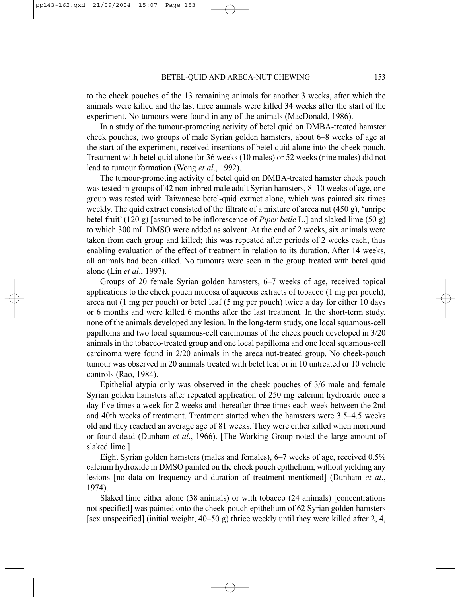to the cheek pouches of the 13 remaining animals for another 3 weeks, after which the animals were killed and the last three animals were killed 34 weeks after the start of the experiment. No tumours were found in any of the animals (MacDonald, 1986).

In a study of the tumour-promoting activity of betel quid on DMBA-treated hamster cheek pouches, two groups of male Syrian golden hamsters, about 6–8 weeks of age at the start of the experiment, received insertions of betel quid alone into the cheek pouch. Treatment with betel quid alone for 36 weeks (10 males) or 52 weeks (nine males) did not lead to tumour formation (Wong *et al*., 1992).

The tumour-promoting activity of betel quid on DMBA-treated hamster cheek pouch was tested in groups of 42 non-inbred male adult Syrian hamsters, 8–10 weeks of age, one group was tested with Taiwanese betel-quid extract alone, which was painted six times weekly. The quid extract consisted of the filtrate of a mixture of areca nut (450 g), 'unripe betel fruit' (120 g) [assumed to be inflorescence of *Piper betle* L.] and slaked lime (50 g) to which 300 mL DMSO were added as solvent. At the end of 2 weeks, six animals were taken from each group and killed; this was repeated after periods of 2 weeks each, thus enabling evaluation of the effect of treatment in relation to its duration. After 14 weeks, all animals had been killed. No tumours were seen in the group treated with betel quid alone (Lin *et al*., 1997).

Groups of 20 female Syrian golden hamsters, 6–7 weeks of age, received topical applications to the cheek pouch mucosa of aqueous extracts of tobacco (1 mg per pouch), areca nut (1 mg per pouch) or betel leaf (5 mg per pouch) twice a day for either 10 days or 6 months and were killed 6 months after the last treatment. In the short-term study, none of the animals developed any lesion. In the long-term study, one local squamous-cell papilloma and two local squamous-cell carcinomas of the cheek pouch developed in 3/20 animals in the tobacco-treated group and one local papilloma and one local squamous-cell carcinoma were found in 2/20 animals in the areca nut-treated group. No cheek-pouch tumour was observed in 20 animals treated with betel leaf or in 10 untreated or 10 vehicle controls (Rao, 1984).

Epithelial atypia only was observed in the cheek pouches of 3/6 male and female Syrian golden hamsters after repeated application of 250 mg calcium hydroxide once a day five times a week for 2 weeks and thereafter three times each week between the 2nd and 40th weeks of treatment. Treatment started when the hamsters were 3.5–4.5 weeks old and they reached an average age of 81 weeks. They were either killed when moribund or found dead (Dunham *et al*., 1966). [The Working Group noted the large amount of slaked lime.]

Eight Syrian golden hamsters (males and females), 6–7 weeks of age, received 0.5% calcium hydroxide in DMSO painted on the cheek pouch epithelium, without yielding any lesions [no data on frequency and duration of treatment mentioned] (Dunham *et al*., 1974).

Slaked lime either alone (38 animals) or with tobacco (24 animals) [concentrations not specified] was painted onto the cheek-pouch epithelium of 62 Syrian golden hamsters [sex unspecified] (initial weight,  $40-50$  g) thrice weekly until they were killed after 2, 4,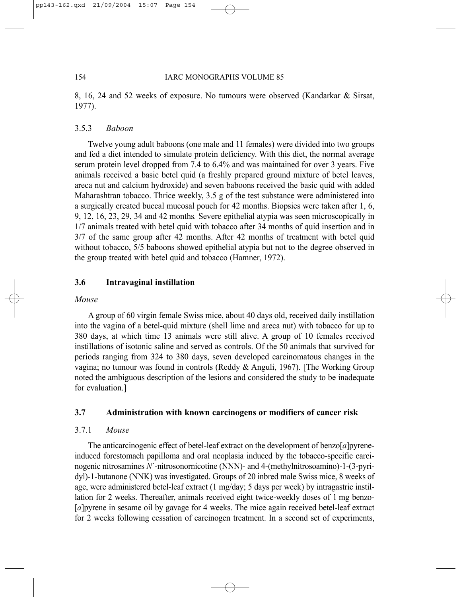8, 16, 24 and 52 weeks of exposure. No tumours were observed (Kandarkar & Sirsat, 1977).

## 3.5.3 *Baboon*

Twelve young adult baboons (one male and 11 females) were divided into two groups and fed a diet intended to simulate protein deficiency. With this diet, the normal average serum protein level dropped from 7.4 to 6.4% and was maintained for over 3 years. Five animals received a basic betel quid (a freshly prepared ground mixture of betel leaves, areca nut and calcium hydroxide) and seven baboons received the basic quid with added Maharashtran tobacco. Thrice weekly, 3.5 g of the test substance were administered into a surgically created buccal mucosal pouch for 42 months. Biopsies were taken after 1, 6, 9, 12, 16, 23, 29, 34 and 42 months*.* Severe epithelial atypia was seen microscopically in 1/7 animals treated with betel quid with tobacco after 34 months of quid insertion and in 3/7 of the same group after 42 months. After 42 months of treatment with betel quid without tobacco, 5/5 baboons showed epithelial atypia but not to the degree observed in the group treated with betel quid and tobacco (Hamner, 1972).

# **3.6 Intravaginal instillation**

### *Mouse*

A group of 60 virgin female Swiss mice, about 40 days old, received daily instillation into the vagina of a betel-quid mixture (shell lime and areca nut) with tobacco for up to 380 days, at which time 13 animals were still alive. A group of 10 females received instillations of isotonic saline and served as controls. Of the 50 animals that survived for periods ranging from 324 to 380 days, seven developed carcinomatous changes in the vagina; no tumour was found in controls (Reddy & Anguli, 1967). [The Working Group noted the ambiguous description of the lesions and considered the study to be inadequate for evaluation.]

## **3.7 Administration with known carcinogens or modifiers of cancer risk**

## 3.7.1 *Mouse*

The anticarcinogenic effect of betel-leaf extract on the development of benzo[*a*]pyreneinduced forestomach papilloma and oral neoplasia induced by the tobacco-specific carcinogenic nitrosamines *N*´-nitrosonornicotine (NNN)- and 4-(methylnitrosoamino)-1-(3-pyridyl)-1-butanone (NNK) was investigated. Groups of 20 inbred male Swiss mice, 8 weeks of age, were administered betel-leaf extract (1 mg/day; 5 days per week) by intragastric instillation for 2 weeks. Thereafter, animals received eight twice-weekly doses of 1 mg benzo- [*a*]pyrene in sesame oil by gavage for 4 weeks. The mice again received betel-leaf extract for 2 weeks following cessation of carcinogen treatment. In a second set of experiments,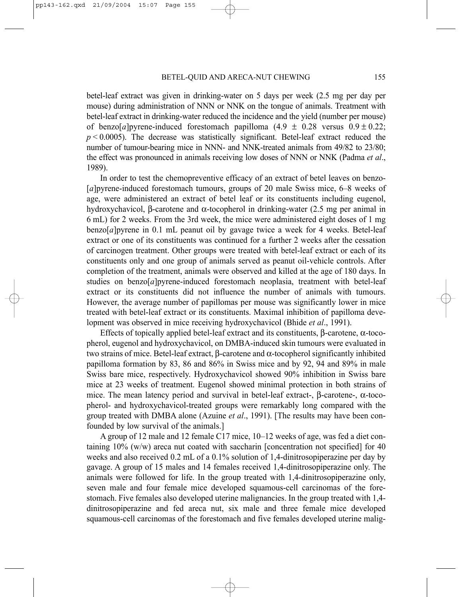betel-leaf extract was given in drinking-water on 5 days per week (2.5 mg per day per mouse) during administration of NNN or NNK on the tongue of animals. Treatment with betel-leaf extract in drinking-water reduced the incidence and the yield (number per mouse) of benzo[*a*]pyrene-induced forestomach papilloma  $(4.9 \pm 0.28 \text{ versus } 0.9 \pm 0.22;$  $p \le 0.0005$ ). The decrease was statistically significant. Betel-leaf extract reduced the number of tumour-bearing mice in NNN- and NNK-treated animals from 49/82 to 23/80; the effect was pronounced in animals receiving low doses of NNN or NNK (Padma *et al*., 1989).

In order to test the chemopreventive efficacy of an extract of betel leaves on benzo- [*a*]pyrene-induced forestomach tumours, groups of 20 male Swiss mice, 6–8 weeks of age, were administered an extract of betel leaf or its constituents including eugenol, hydroxychavicol, β-carotene and α-tocopherol in drinking-water (2.5 mg per animal in 6 mL) for 2 weeks. From the 3rd week, the mice were administered eight doses of 1 mg benzo[*a*]pyrene in 0.1 mL peanut oil by gavage twice a week for 4 weeks. Betel-leaf extract or one of its constituents was continued for a further 2 weeks after the cessation of carcinogen treatment. Other groups were treated with betel-leaf extract or each of its constituents only and one group of animals served as peanut oil-vehicle controls. After completion of the treatment, animals were observed and killed at the age of 180 days. In studies on benzo[*a*]pyrene-induced forestomach neoplasia, treatment with betel-leaf extract or its constituents did not influence the number of animals with tumours. However, the average number of papillomas per mouse was significantly lower in mice treated with betel-leaf extract or its constituents. Maximal inhibition of papilloma development was observed in mice receiving hydroxychavicol (Bhide *et al*., 1991).

Effects of topically applied betel-leaf extract and its constituents, β-carotene, α-tocopherol, eugenol and hydroxychavicol, on DMBA-induced skin tumours were evaluated in two strains of mice. Betel-leaf extract, β-carotene and α-tocopherol significantly inhibited papilloma formation by 83, 86 and 86% in Swiss mice and by 92, 94 and 89% in male Swiss bare mice, respectively. Hydroxychavicol showed 90% inhibition in Swiss bare mice at 23 weeks of treatment. Eugenol showed minimal protection in both strains of mice. The mean latency period and survival in betel-leaf extract-, β-carotene-,  $α$ -tocopherol- and hydroxychavicol-treated groups were remarkably long compared with the group treated with DMBA alone (Azuine *et al*., 1991). [The results may have been confounded by low survival of the animals.]

A group of 12 male and 12 female C17 mice, 10–12 weeks of age, was fed a diet containing  $10\%$  (w/w) areca nut coated with saccharin [concentration not specified] for 40 weeks and also received 0.2 mL of a 0.1% solution of 1.4-dinitrosopiperazine per day by gavage. A group of 15 males and 14 females received 1,4-dinitrosopiperazine only. The animals were followed for life. In the group treated with 1,4-dinitrosopiperazine only, seven male and four female mice developed squamous-cell carcinomas of the forestomach. Five females also developed uterine malignancies. In the group treated with 1,4 dinitrosopiperazine and fed areca nut, six male and three female mice developed squamous-cell carcinomas of the forestomach and five females developed uterine malig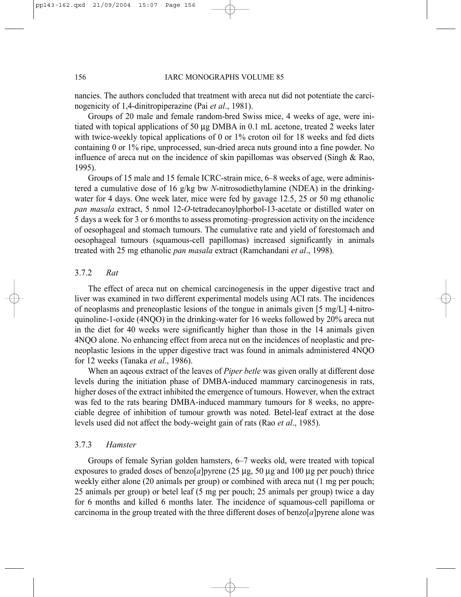nancies. The authors concluded that treatment with areca nut did not potentiate the carcinogenicity of 1,4-dinitropiperazine (Pai *et al*., 1981).

Groups of 20 male and female random-bred Swiss mice, 4 weeks of age, were initiated with topical applications of 50 µg DMBA in 0.1 mL acetone, treated 2 weeks later with twice-weekly topical applications of 0 or 1% croton oil for 18 weeks and fed diets containing 0 or 1% ripe, unprocessed, sun-dried areca nuts ground into a fine powder. No influence of areca nut on the incidence of skin papillomas was observed (Singh & Rao, 1995).

Groups of 15 male and 15 female ICRC-strain mice, 6–8 weeks of age, were administered a cumulative dose of 16 g/kg bw *N*-nitrosodiethylamine (NDEA) in the drinkingwater for 4 days. One week later, mice were fed by gavage 12.5, 25 or 50 mg ethanolic *pan masala* extract, 5 nmol 12-*O*-tetradecanoylphorbol-13-acetate or distilled water on 5 days a week for 3 or 6 months to assess promoting–progression activity on the incidence of oesophageal and stomach tumours. The cumulative rate and yield of forestomach and oesophageal tumours (squamous-cell papillomas) increased significantly in animals treated with 25 mg ethanolic *pan masala* extract (Ramchandani *et al*., 1998).

## 3.7.2 *Rat*

The effect of areca nut on chemical carcinogenesis in the upper digestive tract and liver was examined in two different experimental models using ACI rats. The incidences of neoplasms and preneoplastic lesions of the tongue in animals given [5 mg/L] 4-nitroquinoline-1-oxide (4NQO) in the drinking-water for 16 weeks followed by 20% areca nut in the diet for 40 weeks were significantly higher than those in the 14 animals given 4NQO alone. No enhancing effect from areca nut on the incidences of neoplastic and preneoplastic lesions in the upper digestive tract was found in animals administered 4NQO for 12 weeks (Tanaka *et al*., 1986).

When an aqeous extract of the leaves of *Piper betle* was given orally at different dose levels during the initiation phase of DMBA-induced mammary carcinogenesis in rats, higher doses of the extract inhibited the emergence of tumours. However, when the extract was fed to the rats bearing DMBA-induced mammary tumours for 8 weeks, no appreciable degree of inhibition of tumour growth was noted. Betel-leaf extract at the dose levels used did not affect the body-weight gain of rats (Rao *et al*., 1985).

### 3.7.3 *Hamster*

Groups of female Syrian golden hamsters, 6–7 weeks old, were treated with topical exposures to graded doses of benzo $[a]$ pyrene (25 µg, 50 µg and 100 µg per pouch) thrice weekly either alone (20 animals per group) or combined with areca nut (1 mg per pouch; 25 animals per group) or betel leaf (5 mg per pouch; 25 animals per group) twice a day for 6 months and killed 6 months later. The incidence of squamous-cell papilloma or carcinoma in the group treated with the three different doses of benzo[*a*]pyrene alone was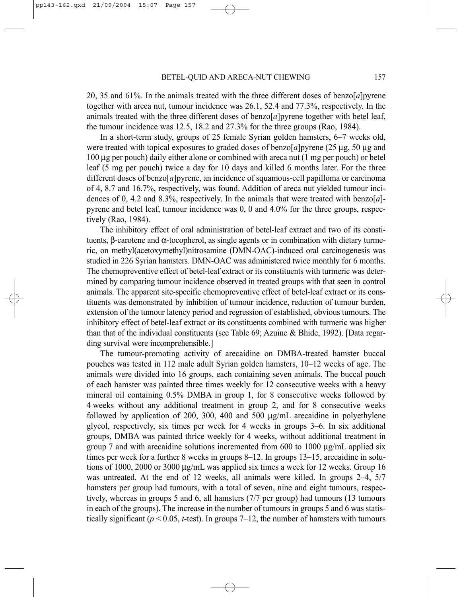20, 35 and 61%. In the animals treated with the three different doses of benzo[*a*]pyrene together with areca nut, tumour incidence was 26.1, 52.4 and 77.3%, respectively. In the animals treated with the three different doses of benzo[*a*]pyrene together with betel leaf, the tumour incidence was 12.5, 18.2 and 27.3% for the three groups (Rao, 1984).

In a short-term study, groups of 25 female Syrian golden hamsters, 6–7 weeks old, were treated with topical exposures to graded doses of benzo $[a]$ pyrene (25 µg, 50 µg and 100 µg per pouch) daily either alone or combined with areca nut (1 mg per pouch) or betel leaf (5 mg per pouch) twice a day for 10 days and killed 6 months later. For the three different doses of benzo[*a*]pyrene, an incidence of squamous-cell papilloma or carcinoma of 4, 8.7 and 16.7%, respectively, was found. Addition of areca nut yielded tumour incidences of 0, 4.2 and 8.3%, respectively. In the animals that were treated with benzo[a]pyrene and betel leaf, tumour incidence was 0, 0 and 4.0% for the three groups, respectively (Rao, 1984).

The inhibitory effect of oral administration of betel-leaf extract and two of its constituents, β-carotene and  $α$ -tocopherol, as single agents or in combination with dietary turmeric, on methyl(acetoxymethyl)nitrosamine (DMN-OAC)-induced oral carcinogenesis was studied in 226 Syrian hamsters. DMN-OAC was administered twice monthly for 6 months. The chemopreventive effect of betel-leaf extract or its constituents with turmeric was determined by comparing tumour incidence observed in treated groups with that seen in control animals. The apparent site-specific chemopreventive effect of betel-leaf extract or its constituents was demonstrated by inhibition of tumour incidence, reduction of tumour burden, extension of the tumour latency period and regression of established, obvious tumours. The inhibitory effect of betel-leaf extract or its constituents combined with turmeric was higher than that of the individual constituents (see Table 69; Azuine & Bhide, 1992). [Data regarding survival were incomprehensible.]

The tumour-promoting activity of arecaidine on DMBA-treated hamster buccal pouches was tested in 112 male adult Syrian golden hamsters, 10–12 weeks of age. The animals were divided into 16 groups, each containing seven animals. The buccal pouch of each hamster was painted three times weekly for 12 consecutive weeks with a heavy mineral oil containing 0.5% DMBA in group 1, for 8 consecutive weeks followed by 4 weeks without any additional treatment in group 2, and for 8 consecutive weeks followed by application of 200, 300, 400 and 500 µg/mL arecaidine in polyethylene glycol, respectively, six times per week for 4 weeks in groups 3–6. In six additional groups, DMBA was painted thrice weekly for 4 weeks, without additional treatment in group 7 and with arecaidine solutions incremented from 600 to 1000  $\mu$ g/mL applied six times per week for a further 8 weeks in groups 8–12. In groups 13–15, arecaidine in solutions of 1000, 2000 or 3000 µg/mL was applied six times a week for 12 weeks. Group 16 was untreated. At the end of 12 weeks, all animals were killed. In groups 2–4, 5/7 hamsters per group had tumours, with a total of seven, nine and eight tumours, respectively, whereas in groups 5 and 6, all hamsters (7/7 per group) had tumours (13 tumours in each of the groups). The increase in the number of tumours in groups 5 and 6 was statistically significant ( $p < 0.05$ , *t*-test). In groups 7–12, the number of hamsters with tumours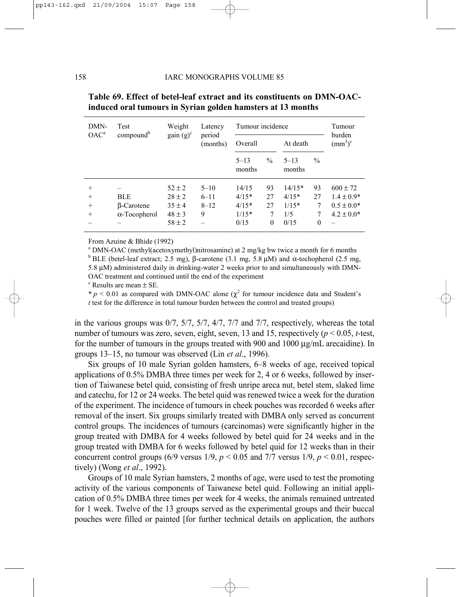| DMN-<br>OAC <sup>a</sup>             | Test                                                    | Weight                                                             | Latency                               | Tumour incidence                               | Tumour                          |                                               |                                |                                                                    |
|--------------------------------------|---------------------------------------------------------|--------------------------------------------------------------------|---------------------------------------|------------------------------------------------|---------------------------------|-----------------------------------------------|--------------------------------|--------------------------------------------------------------------|
|                                      | compound <sup>b</sup>                                   | $gain(g)^c$                                                        | period<br>(months)                    | Overall                                        |                                 | At death                                      |                                | burden<br>$\text{m}^3$ <sup>c</sup>                                |
|                                      |                                                         |                                                                    |                                       | $5 - 13$<br>months                             | $\frac{0}{0}$                   | $5 - 13$<br>months                            | $\frac{0}{0}$                  |                                                                    |
| $^{+}$<br>$^{+}$<br>$^{+}$<br>$^{+}$ | <b>BLE</b><br><b>B-Carotene</b><br>$\alpha$ -Tocopherol | $52 \pm 2$<br>$28 \pm 2$<br>$35 \pm 4$<br>$48 \pm 3$<br>$58 \pm 2$ | $5 - 10$<br>$6 - 11$<br>$8 - 12$<br>9 | 14/15<br>$4/15*$<br>$4/15*$<br>$1/15*$<br>0/15 | 93<br>27<br>27<br>7<br>$\theta$ | $14/15*$<br>$4/15*$<br>$1/15*$<br>1/5<br>0/15 | 93<br>27<br>7<br>7<br>$\theta$ | $600 \pm 72$<br>$1.4 \pm 0.9*$<br>$0.5 \pm 0.0*$<br>$4.2 \pm 0.0*$ |

## **Table 69. Effect of betel-leaf extract and its constituents on DMN-OACinduced oral tumours in Syrian golden hamsters at 13 months**

From Azuine & Bhide (1992)

<sup>a</sup> DMN-OAC (methyl(acetoxymethyl)nitrosamine) at 2 mg/kg bw twice a month for 6 months <sup>b</sup> BLE (betel-leaf extract; 2.5 mg), β-carotene (3.1 mg, 5.8  $\mu$ M) and α-tochopherol (2.5 mg,

5.8 µM) administered daily in drinking-water 2 weeks prior to and simultaneously with DMN-OAC treatment and continued until the end of the experiment

 $\textdegree$  Results are mean  $\pm$  SE.

 $* p < 0.01$  as compared with DMN-OAC alone ( $\chi^2$  for tumour incidence data and Student's *t* test for the difference in total tumour burden between the control and treated groups)

in the various groups was  $0/7$ ,  $5/7$ ,  $5/7$ ,  $4/7$ ,  $7/7$  and  $7/7$ , respectively, whereas the total number of tumours was zero, seven, eight, seven, 13 and 15, respectively (*p* < 0.05, *t*-test, for the number of tumours in the groups treated with 900 and 1000 µg/mL arecaidine). In groups 13–15, no tumour was observed (Lin *et al*., 1996).

Six groups of 10 male Syrian golden hamsters, 6–8 weeks of age, received topical applications of 0.5% DMBA three times per week for 2, 4 or 6 weeks, followed by insertion of Taiwanese betel quid, consisting of fresh unripe areca nut, betel stem, slaked lime and catechu, for 12 or 24 weeks. The betel quid was renewed twice a week for the duration of the experiment. The incidence of tumours in cheek pouches was recorded 6 weeks after removal of the insert. Six groups similarly treated with DMBA only served as concurrent control groups. The incidences of tumours (carcinomas) were significantly higher in the group treated with DMBA for 4 weeks followed by betel quid for 24 weeks and in the group treated with DMBA for 6 weeks followed by betel quid for 12 weeks than in their concurrent control groups (6/9 versus  $1/9$ ,  $p < 0.05$  and 7/7 versus  $1/9$ ,  $p < 0.01$ , respectively) (Wong *et al*., 1992).

Groups of 10 male Syrian hamsters, 2 months of age, were used to test the promoting activity of the various components of Taiwanese betel quid. Following an initial application of 0.5% DMBA three times per week for 4 weeks, the animals remained untreated for 1 week. Twelve of the 13 groups served as the experimental groups and their buccal pouches were filled or painted [for further technical details on application, the authors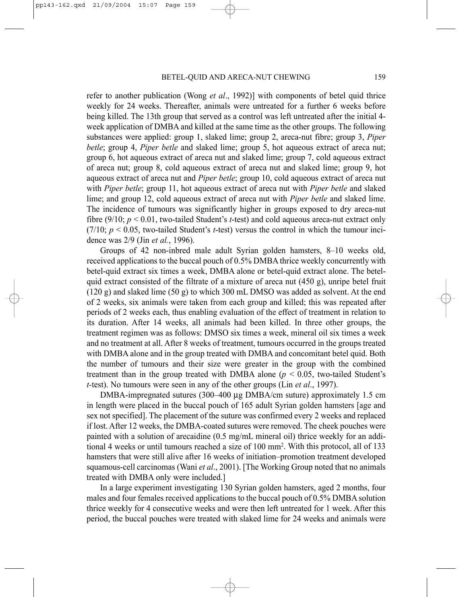refer to another publication (Wong *et al*., 1992)] with components of betel quid thrice weekly for 24 weeks. Thereafter, animals were untreated for a further 6 weeks before being killed. The 13th group that served as a control was left untreated after the initial 4 week application of DMBA and killed at the same time as the other groups. The following substances were applied: group 1, slaked lime; group 2, areca-nut fibre; group 3, *Piper betle*; group 4, *Piper betle* and slaked lime; group 5, hot aqueous extract of areca nut; group 6, hot aqueous extract of areca nut and slaked lime; group 7, cold aqueous extract of areca nut; group 8, cold aqueous extract of areca nut and slaked lime; group 9, hot aqueous extract of areca nut and *Piper betle*; group 10, cold aqueous extract of areca nut with *Piper betle*; group 11, hot aqueous extract of areca nut with *Piper betle* and slaked lime; and group 12, cold aqueous extract of areca nut with *Piper betle* and slaked lime. The incidence of tumours was significantly higher in groups exposed to dry areca-nut fibre (9/10; *p* < 0.01, two-tailed Student's *t*-test) and cold aqueous areca-nut extract only  $(7/10; p < 0.05$ , two-tailed Student's *t*-test) versus the control in which the tumour incidence was 2/9 (Jin *et al.*, 1996).

Groups of 42 non-inbred male adult Syrian golden hamsters, 8–10 weeks old, received applications to the buccal pouch of 0.5% DMBA thrice weekly concurrently with betel-quid extract six times a week, DMBA alone or betel-quid extract alone. The betelquid extract consisted of the filtrate of a mixture of areca nut  $(450 \text{ g})$ , unripe betel fruit  $(120 \text{ g})$  and slaked lime  $(50 \text{ g})$  to which 300 mL DMSO was added as solvent. At the end of 2 weeks, six animals were taken from each group and killed; this was repeated after periods of 2 weeks each, thus enabling evaluation of the effect of treatment in relation to its duration. After 14 weeks, all animals had been killed. In three other groups, the treatment regimen was as follows: DMSO six times a week, mineral oil six times a week and no treatment at all. After 8 weeks of treatment, tumours occurred in the groups treated with DMBA alone and in the group treated with DMBA and concomitant betel quid. Both the number of tumours and their size were greater in the group with the combined treatment than in the group treated with DMBA alone  $(p < 0.05$ , two-tailed Student's *t-*test). No tumours were seen in any of the other groups (Lin *et al*., 1997).

DMBA-impregnated sutures (300–400 µg DMBA/cm suture) approximately 1.5 cm in length were placed in the buccal pouch of 165 adult Syrian golden hamsters [age and sex not specified]. The placement of the suture was confirmed every 2 weeks and replaced if lost. After 12 weeks, the DMBA-coated sutures were removed. The cheek pouches were painted with a solution of arecaidine (0.5 mg/mL mineral oil) thrice weekly for an additional 4 weeks or until tumours reached a size of 100 mm2. With this protocol, all of 133 hamsters that were still alive after 16 weeks of initiation–promotion treatment developed squamous-cell carcinomas (Wani *et al*., 2001). [The Working Group noted that no animals treated with DMBA only were included.]

In a large experiment investigating 130 Syrian golden hamsters, aged 2 months, four males and four females received applications to the buccal pouch of 0.5% DMBA solution thrice weekly for 4 consecutive weeks and were then left untreated for 1 week. After this period, the buccal pouches were treated with slaked lime for 24 weeks and animals were